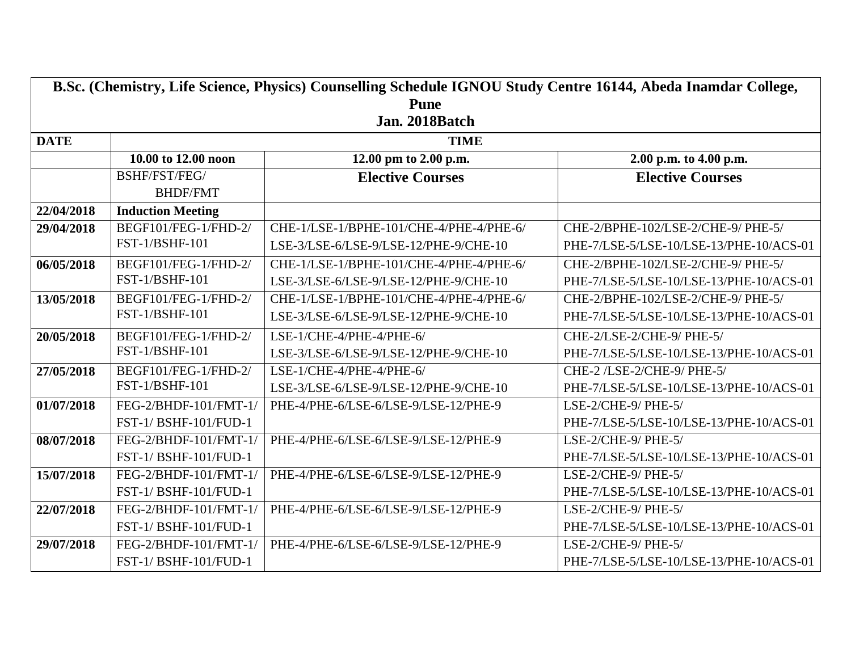| B.Sc. (Chemistry, Life Science, Physics) Counselling Schedule IGNOU Study Centre 16144, Abeda Inamdar College, |                          |                                         |                                         |  |  |
|----------------------------------------------------------------------------------------------------------------|--------------------------|-----------------------------------------|-----------------------------------------|--|--|
| <b>Pune</b>                                                                                                    |                          |                                         |                                         |  |  |
| Jan. 2018Batch                                                                                                 |                          |                                         |                                         |  |  |
| <b>DATE</b>                                                                                                    |                          | <b>TIME</b>                             |                                         |  |  |
|                                                                                                                | 10.00 to 12.00 noon      | 12.00 pm to 2.00 p.m.                   | 2.00 p.m. to 4.00 p.m.                  |  |  |
|                                                                                                                | BSHF/FST/FEG/            | <b>Elective Courses</b>                 | <b>Elective Courses</b>                 |  |  |
|                                                                                                                | <b>BHDF/FMT</b>          |                                         |                                         |  |  |
| 22/04/2018                                                                                                     | <b>Induction Meeting</b> |                                         |                                         |  |  |
| 29/04/2018                                                                                                     | BEGF101/FEG-1/FHD-2/     | CHE-1/LSE-1/BPHE-101/CHE-4/PHE-4/PHE-6/ | CHE-2/BPHE-102/LSE-2/CHE-9/ PHE-5/      |  |  |
|                                                                                                                | FST-1/BSHF-101           | LSE-3/LSE-6/LSE-9/LSE-12/PHE-9/CHE-10   | PHE-7/LSE-5/LSE-10/LSE-13/PHE-10/ACS-01 |  |  |
| 06/05/2018                                                                                                     | BEGF101/FEG-1/FHD-2/     | CHE-1/LSE-1/BPHE-101/CHE-4/PHE-4/PHE-6/ | CHE-2/BPHE-102/LSE-2/CHE-9/ PHE-5/      |  |  |
|                                                                                                                | FST-1/BSHF-101           | LSE-3/LSE-6/LSE-9/LSE-12/PHE-9/CHE-10   | PHE-7/LSE-5/LSE-10/LSE-13/PHE-10/ACS-01 |  |  |
| 13/05/2018                                                                                                     | BEGF101/FEG-1/FHD-2/     | CHE-1/LSE-1/BPHE-101/CHE-4/PHE-4/PHE-6/ | CHE-2/BPHE-102/LSE-2/CHE-9/ PHE-5/      |  |  |
|                                                                                                                | FST-1/BSHF-101           | LSE-3/LSE-6/LSE-9/LSE-12/PHE-9/CHE-10   | PHE-7/LSE-5/LSE-10/LSE-13/PHE-10/ACS-01 |  |  |
| 20/05/2018                                                                                                     | BEGF101/FEG-1/FHD-2/     | LSE-1/CHE-4/PHE-4/PHE-6/                | CHE-2/LSE-2/CHE-9/ PHE-5/               |  |  |
|                                                                                                                | FST-1/BSHF-101           | LSE-3/LSE-6/LSE-9/LSE-12/PHE-9/CHE-10   | PHE-7/LSE-5/LSE-10/LSE-13/PHE-10/ACS-01 |  |  |
| 27/05/2018                                                                                                     | BEGF101/FEG-1/FHD-2/     | LSE-1/CHE-4/PHE-4/PHE-6/                | CHE-2/LSE-2/CHE-9/PHE-5/                |  |  |
|                                                                                                                | FST-1/BSHF-101           | LSE-3/LSE-6/LSE-9/LSE-12/PHE-9/CHE-10   | PHE-7/LSE-5/LSE-10/LSE-13/PHE-10/ACS-01 |  |  |
| 01/07/2018                                                                                                     | FEG-2/BHDF-101/FMT-1/    | PHE-4/PHE-6/LSE-6/LSE-9/LSE-12/PHE-9    | LSE-2/CHE-9/PHE-5/                      |  |  |
|                                                                                                                | FST-1/BSHF-101/FUD-1     |                                         | PHE-7/LSE-5/LSE-10/LSE-13/PHE-10/ACS-01 |  |  |
| 08/07/2018                                                                                                     | FEG-2/BHDF-101/FMT-1/    | PHE-4/PHE-6/LSE-6/LSE-9/LSE-12/PHE-9    | LSE-2/CHE-9/PHE-5/                      |  |  |
|                                                                                                                | FST-1/BSHF-101/FUD-1     |                                         | PHE-7/LSE-5/LSE-10/LSE-13/PHE-10/ACS-01 |  |  |
| 15/07/2018                                                                                                     | FEG-2/BHDF-101/FMT-1/    | PHE-4/PHE-6/LSE-6/LSE-9/LSE-12/PHE-9    | LSE-2/CHE-9/PHE-5/                      |  |  |
|                                                                                                                | FST-1/BSHF-101/FUD-1     |                                         | PHE-7/LSE-5/LSE-10/LSE-13/PHE-10/ACS-01 |  |  |
| 22/07/2018                                                                                                     | FEG-2/BHDF-101/FMT-1/    | PHE-4/PHE-6/LSE-6/LSE-9/LSE-12/PHE-9    | LSE-2/CHE-9/PHE-5/                      |  |  |
|                                                                                                                | FST-1/BSHF-101/FUD-1     |                                         | PHE-7/LSE-5/LSE-10/LSE-13/PHE-10/ACS-01 |  |  |
| 29/07/2018                                                                                                     | FEG-2/BHDF-101/FMT-1/    | PHE-4/PHE-6/LSE-6/LSE-9/LSE-12/PHE-9    | LSE-2/CHE-9/PHE-5/                      |  |  |
|                                                                                                                | FST-1/BSHF-101/FUD-1     |                                         | PHE-7/LSE-5/LSE-10/LSE-13/PHE-10/ACS-01 |  |  |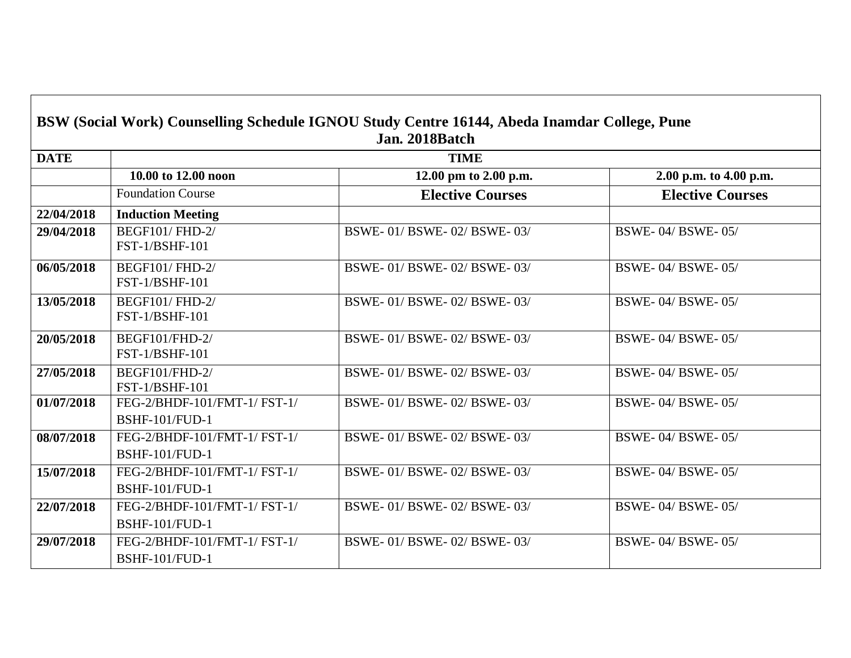| BSW (Social Work) Counselling Schedule IGNOU Study Centre 16144, Abeda Inamdar College, Pune<br>Jan. 2018Batch |                                                       |                               |                         |  |
|----------------------------------------------------------------------------------------------------------------|-------------------------------------------------------|-------------------------------|-------------------------|--|
| <b>DATE</b>                                                                                                    | <b>TIME</b>                                           |                               |                         |  |
|                                                                                                                | 10.00 to 12.00 noon                                   | 12.00 pm to 2.00 p.m.         | 2.00 p.m. to 4.00 p.m.  |  |
|                                                                                                                | <b>Foundation Course</b>                              | <b>Elective Courses</b>       | <b>Elective Courses</b> |  |
| 22/04/2018                                                                                                     | <b>Induction Meeting</b>                              |                               |                         |  |
| 29/04/2018                                                                                                     | <b>BEGF101/FHD-2/</b><br><b>FST-1/BSHF-101</b>        | BSWE- 01/ BSWE- 02/ BSWE- 03/ | <b>BSWE-04/BSWE-05/</b> |  |
| 06/05/2018                                                                                                     | <b>BEGF101/FHD-2/</b><br><b>FST-1/BSHF-101</b>        | BSWE-01/BSWE-02/BSWE-03/      | BSWE-04/BSWE-05/        |  |
| 13/05/2018                                                                                                     | <b>BEGF101/FHD-2/</b><br><b>FST-1/BSHF-101</b>        | BSWE-01/BSWE-02/BSWE-03/      | BSWE-04/BSWE-05/        |  |
| 20/05/2018                                                                                                     | BEGF101/FHD-2/<br><b>FST-1/BSHF-101</b>               | BSWE-01/BSWE-02/BSWE-03/      | <b>BSWE-04/BSWE-05/</b> |  |
| 27/05/2018                                                                                                     | BEGF101/FHD-2/<br><b>FST-1/BSHF-101</b>               | BSWE- 01/ BSWE- 02/ BSWE- 03/ | <b>BSWE-04/BSWE-05/</b> |  |
| 01/07/2018                                                                                                     | FEG-2/BHDF-101/FMT-1/ FST-1/<br><b>BSHF-101/FUD-1</b> | BSWE-01/BSWE-02/BSWE-03/      | BSWE-04/BSWE-05/        |  |
| 08/07/2018                                                                                                     | FEG-2/BHDF-101/FMT-1/ FST-1/<br><b>BSHF-101/FUD-1</b> | BSWE-01/BSWE-02/BSWE-03/      | BSWE-04/BSWE-05/        |  |
| 15/07/2018                                                                                                     | FEG-2/BHDF-101/FMT-1/ FST-1/<br><b>BSHF-101/FUD-1</b> | BSWE-01/BSWE-02/BSWE-03/      | <b>BSWE-04/BSWE-05/</b> |  |
| 22/07/2018                                                                                                     | FEG-2/BHDF-101/FMT-1/ FST-1/<br><b>BSHF-101/FUD-1</b> | BSWE-01/BSWE-02/BSWE-03/      | BSWE-04/BSWE-05/        |  |
| 29/07/2018                                                                                                     | FEG-2/BHDF-101/FMT-1/ FST-1/<br><b>BSHF-101/FUD-1</b> | BSWE-01/BSWE-02/BSWE-03/      | <b>BSWE-04/BSWE-05/</b> |  |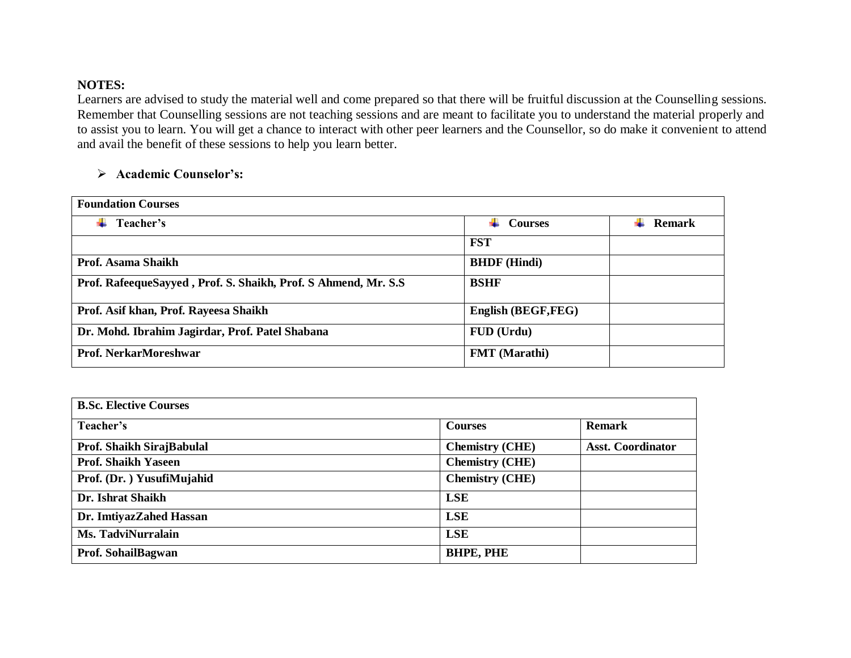## **NOTES:**

Learners are advised to study the material well and come prepared so that there will be fruitful discussion at the Counselling sessions. Remember that Counselling sessions are not teaching sessions and are meant to facilitate you to understand the material properly and to assist you to learn. You will get a chance to interact with other peer learners and the Counsellor, so do make it convenient to attend and avail the benefit of these sessions to help you learn better.

## **Academic Counselor's:**

| <b>Foundation Courses</b>                                      |                      |        |
|----------------------------------------------------------------|----------------------|--------|
| Teacher's                                                      | <b>Courses</b>       | Remark |
|                                                                | <b>FST</b>           |        |
| Prof. Asama Shaikh                                             | <b>BHDF</b> (Hindi)  |        |
| Prof. RafeequeSayyed, Prof. S. Shaikh, Prof. S Ahmend, Mr. S.S | <b>BSHF</b>          |        |
| Prof. Asif khan, Prof. Rayeesa Shaikh                          | English (BEGF,FEG)   |        |
| Dr. Mohd. Ibrahim Jagirdar, Prof. Patel Shabana                | FUD (Urdu)           |        |
| Prof. NerkarMoreshwar                                          | <b>FMT</b> (Marathi) |        |

| <b>B.Sc. Elective Courses</b> |                        |                          |  |
|-------------------------------|------------------------|--------------------------|--|
| Teacher's                     | <b>Courses</b>         | <b>Remark</b>            |  |
| Prof. Shaikh SirajBabulal     | <b>Chemistry (CHE)</b> | <b>Asst. Coordinator</b> |  |
| <b>Prof. Shaikh Yaseen</b>    | <b>Chemistry (CHE)</b> |                          |  |
| Prof. (Dr. ) YusufiMujahid    | <b>Chemistry (CHE)</b> |                          |  |
| Dr. Ishrat Shaikh             | <b>LSE</b>             |                          |  |
| Dr. ImtiyazZahed Hassan       | <b>LSE</b>             |                          |  |
| Ms. TadviNurralain            | <b>LSE</b>             |                          |  |
| Prof. SohailBagwan            | <b>BHPE, PHE</b>       |                          |  |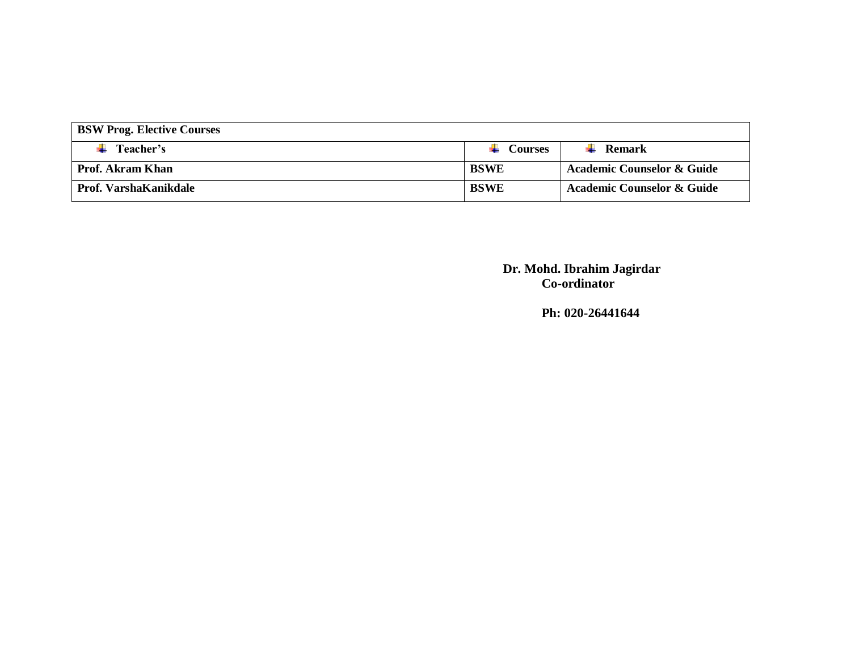| <b>BSW Prog. Elective Courses</b> |                |                                       |  |
|-----------------------------------|----------------|---------------------------------------|--|
| Teacher's                         | <b>Courses</b> | Remark                                |  |
| <b>Prof. Akram Khan</b>           | BSWE           | <b>Academic Counselor &amp; Guide</b> |  |
| Prof. VarshaKanikdale             | <b>BSWE</b>    | <b>Academic Counselor &amp; Guide</b> |  |

**Dr. Mohd. Ibrahim Jagirdar Co-ordinator**

**Ph: 020-26441644**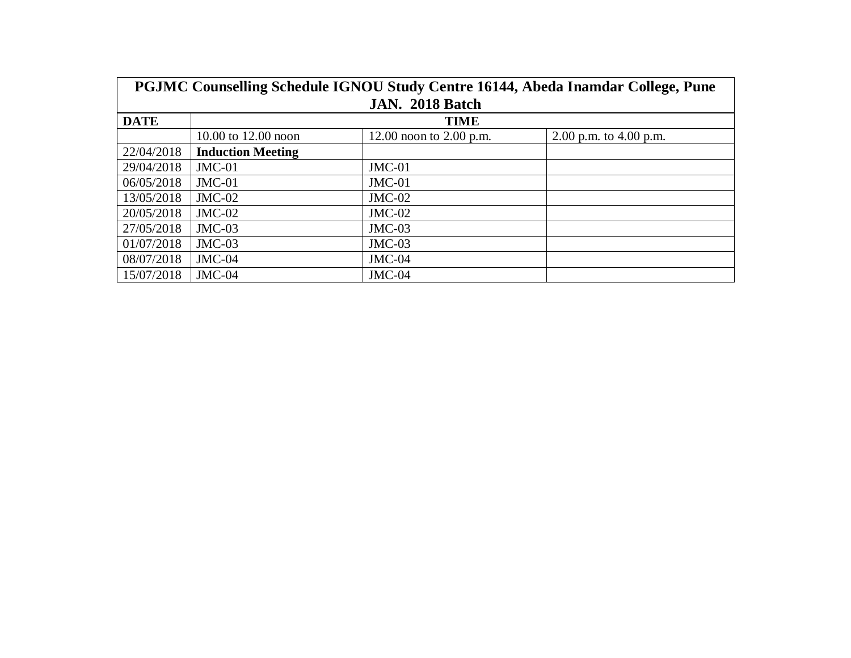| PGJMC Counselling Schedule IGNOU Study Centre 16144, Abeda Inamdar College, Pune |                          |                           |                          |
|----------------------------------------------------------------------------------|--------------------------|---------------------------|--------------------------|
| JAN. 2018 Batch                                                                  |                          |                           |                          |
| <b>DATE</b>                                                                      | <b>TIME</b>              |                           |                          |
|                                                                                  | 10.00 to 12.00 noon      | 12.00 noon to $2.00$ p.m. | 2.00 p.m. to $4.00$ p.m. |
| 22/04/2018                                                                       | <b>Induction Meeting</b> |                           |                          |
| 29/04/2018                                                                       | $JMC-01$                 | $JMC-01$                  |                          |
| 06/05/2018                                                                       | $JMC-01$                 | $JMC-01$                  |                          |
| 13/05/2018                                                                       | $JMC-02$                 | $JMC-02$                  |                          |
| 20/05/2018                                                                       | $JMC-02$                 | $JMC-02$                  |                          |
| 27/05/2018                                                                       | $JMC-03$                 | $JMC-03$                  |                          |
| 01/07/2018                                                                       | $JMC-03$                 | $JMC-03$                  |                          |
| 08/07/2018                                                                       | $JMC-04$                 | $JMC-04$                  |                          |
| 15/07/2018                                                                       | $JMC-04$                 | $JMC-04$                  |                          |